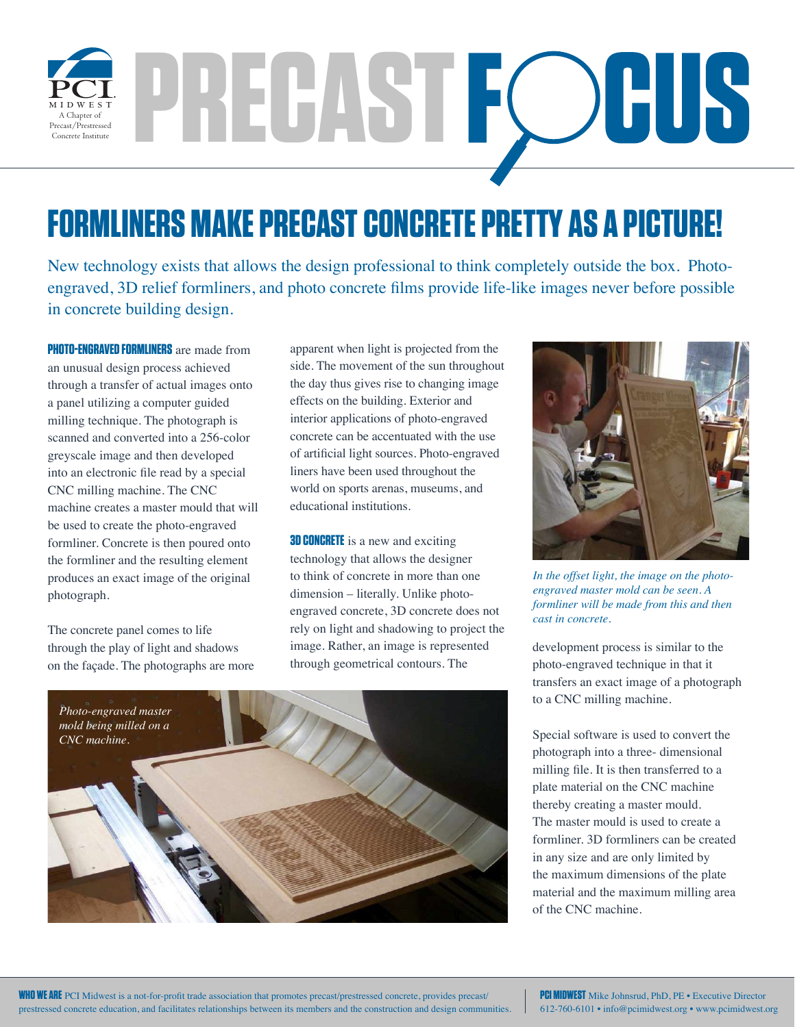

**PRECAST**

## **FORMLINERS MAKE PRECAST CONCRETE PRETTY AS A PICTURE!**

New technology exists that allows the design professional to think completely outside the box. Photoengraved, 3D relief formliners, and photo concrete films provide life-like images never before possible in concrete building design.

**PHOTO-ENGRAVED FORMLINERS** are made from an unusual design process achieved through a transfer of actual images onto a panel utilizing a computer guided milling technique. The photograph is scanned and converted into a 256-color greyscale image and then developed into an electronic file read by a special CNC milling machine. The CNC machine creates a master mould that will be used to create the photo-engraved formliner. Concrete is then poured onto the formliner and the resulting element produces an exact image of the original photograph.

The concrete panel comes to life through the play of light and shadows on the façade. The photographs are more

apparent when light is projected from the side. The movement of the sun throughout the day thus gives rise to changing image effects on the building. Exterior and interior applications of photo-engraved concrete can be accentuated with the use of artificial light sources. Photo-engraved liners have been used throughout the world on sports arenas, museums, and educational institutions.

**3D CONCRETE** is a new and exciting technology that allows the designer to think of concrete in more than one dimension – literally. Unlike photoengraved concrete, 3D concrete does not rely on light and shadowing to project the image. Rather, an image is represented through geometrical contours. The





*In the offset light, the image on the photoengraved master mold can be seen. A formliner will be made from this and then cast in concrete.* 

development process is similar to the photo-engraved technique in that it transfers an exact image of a photograph to a CNC milling machine.

Special software is used to convert the photograph into a three- dimensional milling file. It is then transferred to a plate material on the CNC machine thereby creating a master mould. The master mould is used to create a formliner. 3D formliners can be created in any size and are only limited by the maximum dimensions of the plate material and the maximum milling area of the CNC machine.

**PCI MIDWEST** Mike Johnsrud, PhD, PE • Executive Director 612-760-6101 • info@pcimidwest.org • www.pcimidwest.org